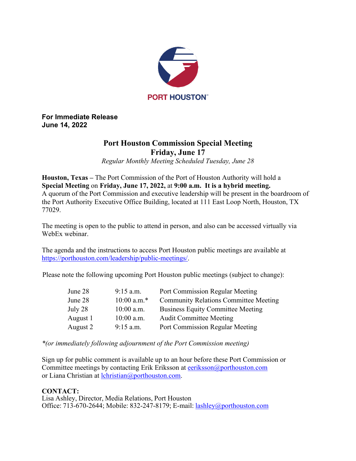

**For Immediate Release June 14, 2022** 

## **Port Houston Commission Special Meeting Friday, June 17**

*Regular Monthly Meeting Scheduled Tuesday, June 28*

**Houston, Texas –** The Port Commission of the Port of Houston Authority will hold a **Special Meeting** on **Friday, June 17, 2022,** at **9:00 a.m. It is a hybrid meeting.** A quorum of the Port Commission and executive leadership will be present in the boardroom of the Port Authority Executive Office Building, located at 111 East Loop North, Houston, TX 77029.

The meeting is open to the public to attend in person, and also can be accessed virtually via WebEx webinar.

The agenda and the instructions to access Port Houston public meetings are available at [https://porthouston.com/leadership/public-meetings/.](https://porthouston.com/leadership/public-meetings/)

Please note the following upcoming Port Houston public meetings (subject to change):

| June 28  | $9:15$ a.m.   | Port Commission Regular Meeting              |
|----------|---------------|----------------------------------------------|
| June 28  | $10:00$ a.m.* | <b>Community Relations Committee Meeting</b> |
| July 28  | $10:00$ a.m.  | <b>Business Equity Committee Meeting</b>     |
| August 1 | $10:00$ a.m.  | <b>Audit Committee Meeting</b>               |
| August 2 | $9:15$ a.m.   | Port Commission Regular Meeting              |

*\*(or immediately following adjournment of the Port Commission meeting)*

Sign up for public comment is available up to an hour before these Port Commission or Committee meetings by contacting Erik Eriksson at [eeriksson@porthouston.com](mailto:eeriksson@porthouston.com) or Liana Christian at [lchristian@porthouston.com.](mailto:lchristian@porthouston.com)

## **CONTACT:**

Lisa Ashley, Director, Media Relations, Port Houston Office: 713-670-2644; Mobile: 832-247-8179; E-mail: [lashley@porthouston.com](mailto:lashley@porthouston.com)